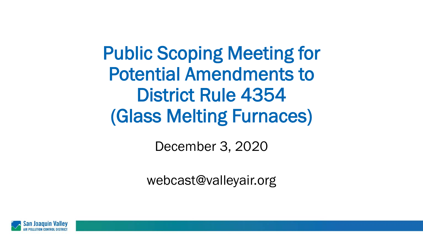Public Scoping Meeting for Potential Amendments to District Rule 4354 (Glass Melting Furnaces)

December 3, 2020

webcast@valleyair.org

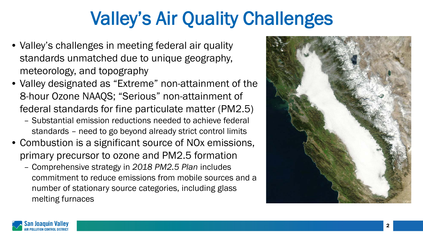## Valley's Air Quality Challenges

- Valley's challenges in meeting federal air quality standards unmatched due to unique geography, meteorology, and topography
- Valley designated as "Extreme" non-attainment of the 8-hour Ozone NAAQS; "Serious" non-attainment of federal standards for fine particulate matter (PM2.5)
	- Substantial emission reductions needed to achieve federal standards – need to go beyond already strict control limits
- Combustion is a significant source of NOx emissions, primary precursor to ozone and PM2.5 formation
	- Comprehensive strategy in *2018 PM2.5 Plan* includes commitment to reduce emissions from mobile sources and a number of stationary source categories, including glass melting furnaces



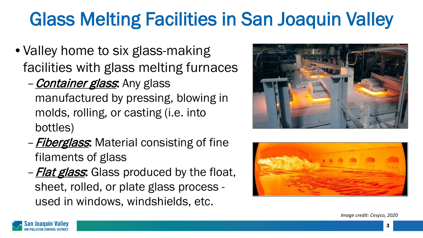# Glass Melting Facilities in San Joaquin Valley

- Valley home to six glass-making facilities with glass melting furnaces
	- **Container glass**: Any glass manufactured by pressing, blowing in molds, rolling, or casting (i.e. into bottles)
	- **Fiberglass:** Material consisting of fine filaments of glass
	- **Flat glass**: Glass produced by the float, sheet, rolled, or plate glass process used in windows, windshields, etc.





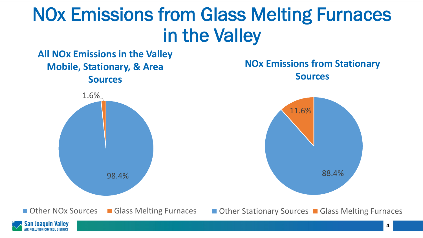## NOx Emissions from Glass Melting Furnaces in the Valley



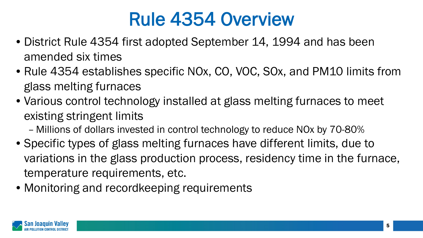### Rule 4354 Overview

- District Rule 4354 first adopted September 14, 1994 and has been amended six times
- Rule 4354 establishes specific NOx, CO, VOC, SOx, and PM10 limits from glass melting furnaces
- Various control technology installed at glass melting furnaces to meet existing stringent limits
	- Millions of dollars invested in control technology to reduce NOx by 70-80%
- Specific types of glass melting furnaces have different limits, due to variations in the glass production process, residency time in the furnace, temperature requirements, etc.
- Monitoring and recordkeeping requirements

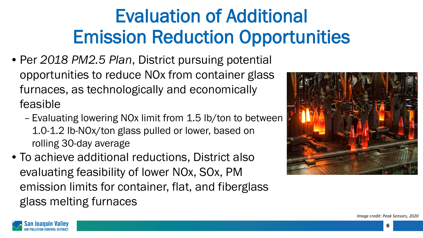# Evaluation of Additional Emission Reduction Opportunities

- Per *2018 PM2.5 Plan*, District pursuing potential opportunities to reduce NOx from container glass furnaces, as technologically and economically feasible
	- Evaluating lowering NOx limit from 1.5 lb/ton to between 1.0-1.2 lb-NOx/ton glass pulled or lower, based on rolling 30-day average
- To achieve additional reductions, District also evaluating feasibility of lower NOx, SOx, PM emission limits for container, flat, and fiberglass glass melting furnaces



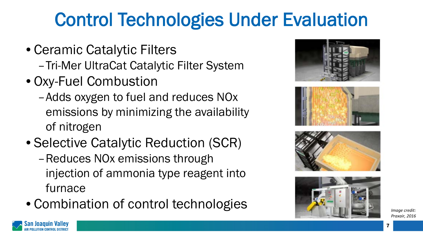# Control Technologies Under Evaluation

- Ceramic Catalytic Filters
	- –Tri-Mer UltraCat Catalytic Filter System
- Oxy-Fuel Combustion
	- –Adds oxygen to fuel and reduces NOx emissions by minimizing the availability of nitrogen
- Selective Catalytic Reduction (SCR)
	- –Reduces NOx emissions through injection of ammonia type reagent into furnace
- Combination of control technologies **Independent of the control technologies**









*Praxair, 2016*

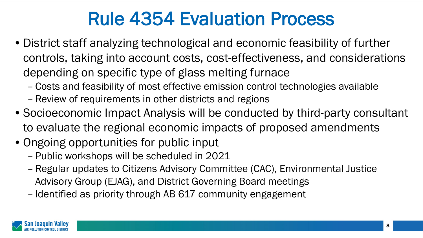## Rule 4354 Evaluation Process

- District staff analyzing technological and economic feasibility of further controls, taking into account costs, cost-effectiveness, and considerations depending on specific type of glass melting furnace
	- Costs and feasibility of most effective emission control technologies available
	- Review of requirements in other districts and regions
- Socioeconomic Impact Analysis will be conducted by third-party consultant to evaluate the regional economic impacts of proposed amendments
- Ongoing opportunities for public input
	- Public workshops will be scheduled in 2021
	- Regular updates to Citizens Advisory Committee (CAC), Environmental Justice Advisory Group (EJAG), and District Governing Board meetings
	- Identified as priority through AB 617 community engagement

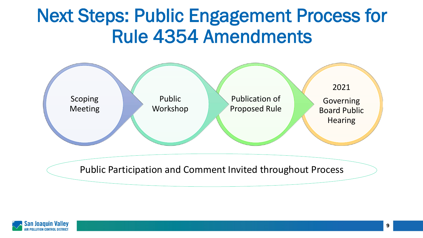#### Next Steps: Public Engagement Process for Rule 4354 Amendments



Public Participation and Comment Invited throughout Process

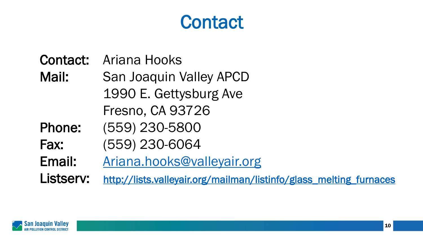### **Contact**

#### Contact: Ariana Hooks

Mail: San Joaquin Valley APCD 1990 E. Gettysburg Ave Fresno, CA 93726

Phone: (559) 230-5800

Fax: (559) 230-6064

Email: [Ariana.hooks@valleyair.org](mailto:Ariana.hooks@valleyair.org)

Listserv: [http://lists.valleyair.org/mailman/listinfo/glass\\_melting\\_furnaces](http://lists.valleyair.org/mailman/listinfo/glass_melting_furnaces)